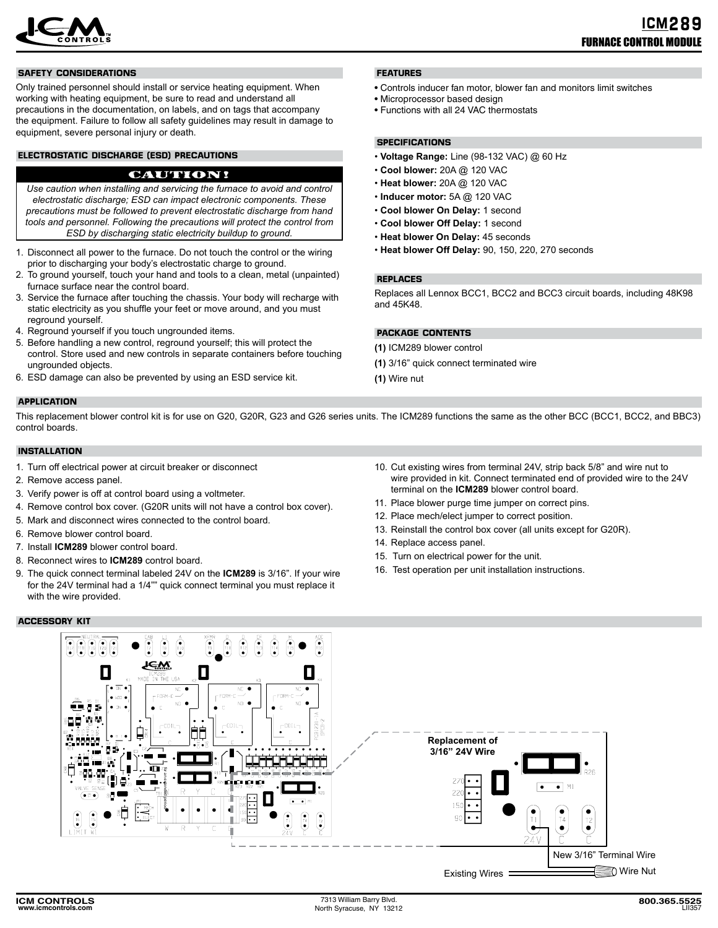

### **SAFETY CONSIDERATIONS**

Only trained personnel should install or service heating equipment. When working with heating equipment, be sure to read and understand all precautions in the documentation, on labels, and on tags that accompany the equipment. Failure to follow all safety guidelines may result in damage to equipment, severe personal injury or death.

## **ELECTROSTATIC DISCHARGE (ESD) PRECAUTIONS**

# CAUTION!

*Use caution when installing and servicing the furnace to avoid and control electrostatic discharge; ESD can impact electronic components. These precautions must be followed to prevent electrostatic discharge from hand tools and personnel. Following the precautions will protect the control from ESD by discharging static electricity buildup to ground.*

- 1. Disconnect all power to the furnace. Do not touch the control or the wiring prior to discharging your body's electrostatic charge to ground.
- 2. To ground yourself, touch your hand and tools to a clean, metal (unpainted) furnace surface near the control board.
- 3. Service the furnace after touching the chassis. Your body will recharge with static electricity as you shuffle your feet or move around, and you must reground yourself.
- 4. Reground yourself if you touch ungrounded items.
- 5. Before handling a new control, reground yourself; this will protect the control. Store used and new controls in separate containers before touching ungrounded objects.
- 6. ESD damage can also be prevented by using an ESD service kit.

### **APPLICATION**

This replacement blower control kit is for use on G20, G20R, G23 and G26 series units. The ICM289 functions the same as the other BCC (BCC1, BCC2, and BBC3) control boards.

### **INSTALLATION**

- 1. Turn off electrical power at circuit breaker or disconnect
- 2. Remove access panel.
- 3. Verify power is off at control board using a voltmeter.
- 4. Remove control box cover. (G20R units will not have a control box cover).
- 5. Mark and disconnect wires connected to the control board.
- 6. Remove blower control board.
- 7. Install **ICM289** blower control board.
- 8. Reconnect wires to **ICM289** control board.
- 9. The quick connect terminal labeled 24V on the ICM289 is 3/16". If your wire for the 24V terminal had a 1/4"" quick connect terminal you must replace it with the wire provided.

#### **ACCESSORY KIT**

10. Cut existing wires from terminal 24V, strip back 5/8" and wire nut to wire provided in kit. Connect terminated end of provided wire to the 24V terminal on the **ICM289** blower control board.

Replaces all Lennox BCC1, BCC2 and BCC3 circuit boards, including 48K98

• Controls inducer fan motor, blower fan and monitors limit switches

- 11. Place blower purge time jumper on correct pins.
- 12. Place mech/elect jumper to correct position.
- 13. Reinstall the control box cover (all units except for G20R).
- 14. Replace access panel.

**PACKAGE CONTENTS (1)** ICM289 blower control

**(1)** Wire nut

**REPLACES**

and 45K48.

**FEATURES**

**SPECIFICATIONS**

• Microprocessor based design • Functions with all 24 VAC thermostats

• **Cool blower:** 20A @ 120 VAC • **Heat blower:** 20A @ 120 VAC • **Inducer motor:** 5A @ 120 VAC • **Cool blower On Delay:** 1 second • **Cool blower Off Delay:** 1 second • **Heat blower On Delay:** 45 seconds

• **Voltage Range:** Line (98-132 VAC) @ 60 Hz

• **Heat blower Off Delay:** 90, 150, 220, 270 seconds

**(1)** 3/16" quick connect terminated wire

- 15. Turn on electrical power for the unit.
- 16. Test operation per unit installation instructions.